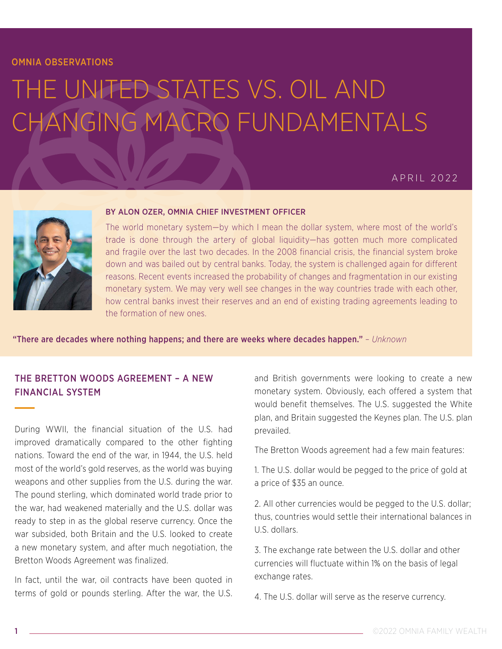#### OMNIA OBSERVATIONS

# THE UNITED STATES VS. OIL AND CHANGING MACRO FUNDAMENTALS

## APRIL 2022



#### BY ALON OZER, OMNIA CHIEF INVESTMENT OFFICER

The world monetary system—by which I mean the dollar system, where most of the world's trade is done through the artery of global liquidity—has gotten much more complicated and fragile over the last two decades. In the 2008 financial crisis, the financial system broke down and was bailed out by central banks. Today, the system is challenged again for different reasons. Recent events increased the probability of changes and fragmentation in our existing monetary system. We may very well see changes in the way countries trade with each other, how central banks invest their reserves and an end of existing trading agreements leading to the formation of new ones.

"There are decades where nothing happens; and there are weeks where decades happen." – *Unknown*

## THE BRETTON WOODS AGREEMENT – A NEW FINANCIAL SYSTEM

During WWII, the financial situation of the U.S. had improved dramatically compared to the other fighting nations. Toward the end of the war, in 1944, the U.S. held most of the world's gold reserves, as the world was buying weapons and other supplies from the U.S. during the war. The pound sterling, which dominated world trade prior to the war, had weakened materially and the U.S. dollar was ready to step in as the global reserve currency. Once the war subsided, both Britain and the U.S. looked to create a new monetary system, and after much negotiation, the Bretton Woods Agreement was finalized.

In fact, until the war, oil contracts have been quoted in terms of gold or pounds sterling. After the war, the U.S. and British governments were looking to create a new monetary system. Obviously, each offered a system that would benefit themselves. The U.S. suggested the White plan, and Britain suggested the Keynes plan. The U.S. plan prevailed.

The Bretton Woods agreement had a few main features:

1. The U.S. dollar would be pegged to the price of gold at a price of \$35 an ounce.

2. All other currencies would be pegged to the U.S. dollar; thus, countries would settle their international balances in U.S. dollars.

3. The exchange rate between the U.S. dollar and other currencies will fluctuate within 1% on the basis of legal exchange rates.

4. The U.S. dollar will serve as the reserve currency.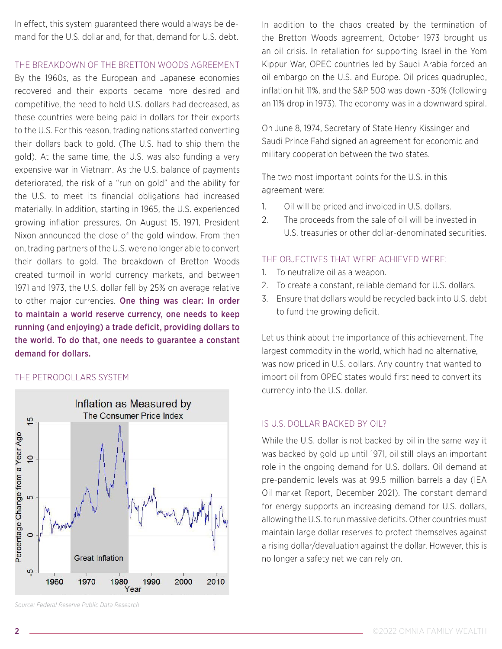In effect, this system guaranteed there would always be demand for the U.S. dollar and, for that, demand for U.S. debt.

#### THE BREAKDOWN OF THE BRETTON WOODS AGREEMENT

By the 1960s, as the European and Japanese economies recovered and their exports became more desired and competitive, the need to hold U.S. dollars had decreased, as these countries were being paid in dollars for their exports to the U.S. For this reason, trading nations started converting their dollars back to gold. (The U.S. had to ship them the gold). At the same time, the U.S. was also funding a very expensive war in Vietnam. As the U.S. balance of payments deteriorated, the risk of a "run on gold" and the ability for the U.S. to meet its financial obligations had increased materially. In addition, starting in 1965, the U.S. experienced growing inflation pressures. On August 15, 1971, President Nixon announced the close of the gold window. From then on, trading partners of the U.S. were no longer able to convert their dollars to gold. The breakdown of Bretton Woods created turmoil in world currency markets, and between 1971 and 1973, the U.S. dollar fell by 25% on average relative to other major currencies. One thing was clear: In order to maintain a world reserve currency, one needs to keep running (and enjoying) a trade deficit, providing dollars to the world. To do that, one needs to guarantee a constant demand for dollars.

#### THE PETRODOLLARS SYSTEM



*Source: Federal Reserve Public Data Research*

In addition to the chaos created by the termination of the Bretton Woods agreement, October 1973 brought us an oil crisis. In retaliation for supporting Israel in the Yom Kippur War, OPEC countries led by Saudi Arabia forced an oil embargo on the U.S. and Europe. Oil prices quadrupled, inflation hit 11%, and the S&P 500 was down -30% (following an 11% drop in 1973). The economy was in a downward spiral.

On June 8, 1974, Secretary of State Henry Kissinger and Saudi Prince Fahd signed an agreement for economic and military cooperation between the two states.

The two most important points for the U.S. in this agreement were:

- 1. Oil will be priced and invoiced in U.S. dollars.
- 2. The proceeds from the sale of oil will be invested in U.S. treasuries or other dollar-denominated securities.

#### THE OBJECTIVES THAT WERE ACHIEVED WERE:

- 1. To neutralize oil as a weapon.
- 2. To create a constant, reliable demand for U.S. dollars.
- 3. Ensure that dollars would be recycled back into U.S. debt to fund the growing deficit.

Let us think about the importance of this achievement. The largest commodity in the world, which had no alternative, was now priced in U.S. dollars. Any country that wanted to import oil from OPEC states would first need to convert its currency into the U.S. dollar.

#### IS U.S. DOLLAR BACKED BY OIL?

While the U.S. dollar is not backed by oil in the same way it was backed by gold up until 1971, oil still plays an important role in the ongoing demand for U.S. dollars. Oil demand at pre-pandemic levels was at 99.5 million barrels a day (IEA Oil market Report, December 2021). The constant demand for energy supports an increasing demand for U.S. dollars, allowing the U.S. to run massive deficits. Other countries must maintain large dollar reserves to protect themselves against a rising dollar/devaluation against the dollar. However, this is no longer a safety net we can rely on.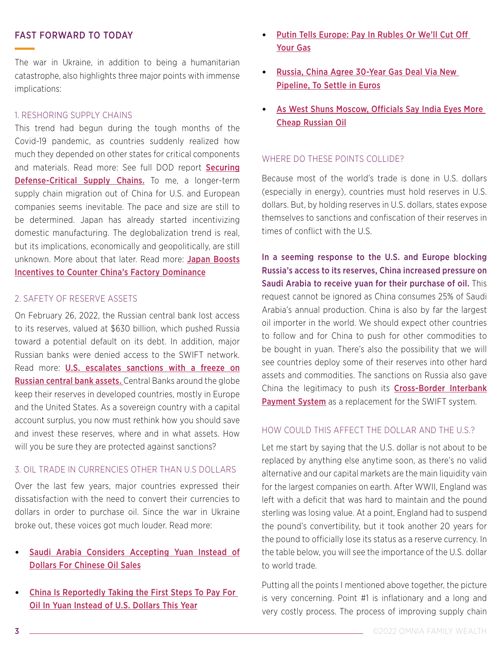#### FAST FORWARD TO TODAY

The war in Ukraine, in addition to being a humanitarian catastrophe, also highlights three major points with immense implications:

#### 1. RESHORING SUPPLY CHAINS

This trend had begun during the tough months of the Covid-19 pandemic, as countries suddenly realized how much they depended on other states for critical components and materials. Read more: See full DOD report [Securing](https://media.defense.gov/2022/Feb/24/2002944158/-1/-1/1/DOD-EO-14017-REPORT-SECURING-DEFENSE-CRITICAL-SUPPLY-CHAINS.PDF) [Defense-Critical Supply Chains.](https://media.defense.gov/2022/Feb/24/2002944158/-1/-1/1/DOD-EO-14017-REPORT-SECURING-DEFENSE-CRITICAL-SUPPLY-CHAINS.PDF) To me, a longer-term supply chain migration out of China for U.S. and European companies seems inevitable. The pace and size are still to be determined. Japan has already started incentivizing domestic manufacturing. The deglobalization trend is real, but its implications, economically and geopolitically, are still unknown. More about that later. Read more: [Japan Boosts](https://www.bloomberg.com/news/newsletters/2021-02-03/supply-chains-latest-japan-adds-incentives-to-counter-china-inc) [Incentives to Counter China's Factory Dominance](https://www.bloomberg.com/news/newsletters/2021-02-03/supply-chains-latest-japan-adds-incentives-to-counter-china-inc)

#### 2. SAFETY OF RESERVE ASSETS

On February 26, 2022, the Russian central bank lost access to its reserves, valued at \$630 billion, which pushed Russia toward a potential default on its debt. In addition, major Russian banks were denied access to the SWIFT network. Read more: [U.S. escalates sanctions with a freeze on](https://www.nytimes.com/2022/02/28/us/politics/us-sanctions-russia-central-bank.html) [Russian central bank assets.](https://www.nytimes.com/2022/02/28/us/politics/us-sanctions-russia-central-bank.html) Central Banks around the globe keep their reserves in developed countries, mostly in Europe and the United States. As a sovereign country with a capital account surplus, you now must rethink how you should save and invest these reserves, where and in what assets. How will you be sure they are protected against sanctions?

#### 3. OIL TRADE IN CURRENCIES OTHER THAN U.S DOLLARS

Over the last few years, major countries expressed their dissatisfaction with the need to convert their currencies to dollars in order to purchase oil. Since the war in Ukraine broke out, these voices got much louder. Read more:

#### [Saudi Arabia Considers Accepting Yuan Instead of](https://www.wsj.com/articles/saudi-arabia-considers-accepting-yuan-instead-of-dollars-for-chinese-oil-sales-11647351541) [Dollars For Chinese Oil Sales](https://www.wsj.com/articles/saudi-arabia-considers-accepting-yuan-instead-of-dollars-for-chinese-oil-sales-11647351541)

• [China Is Reportedly Taking the First Steps To Pay For](https://www.cnbc.com/2018/03/29/china-is-taking-the-first-steps-to-pay-for-oil-in-yuan-instead-of-us-dollars-this-year-sources.html)  [Oil In Yuan Instead of U.S. Dollars This Year](https://www.cnbc.com/2018/03/29/china-is-taking-the-first-steps-to-pay-for-oil-in-yuan-instead-of-us-dollars-this-year-sources.html)

- [Putin Tells Europe: Pay In Rubles Or We'll Cut Off](https://www.reuters.com/business/energy/russia-sets-deadline-rouble-gas-payments-europe-calls-it-blackmail-2022-03-31/)  [Your Gas](https://www.reuters.com/business/energy/russia-sets-deadline-rouble-gas-payments-europe-calls-it-blackmail-2022-03-31/)
- [Russia, China Agree 30-Year Gas Deal Via New](https://www.reuters.com/world/asia-pacific/exclusive-russia-china-agree-30-year-gas-deal-using-new-pipeline-source-2022-02-04/)  [Pipeline, To Settle in Euros](https://www.reuters.com/world/asia-pacific/exclusive-russia-china-agree-30-year-gas-deal-using-new-pipeline-source-2022-02-04/)
- [As West Shuns Moscow, Officials Say India Eyes More](https://www.reuters.com/world/india/india-considers-buying-discounted-russian-oil-commodities-officials-say-2022-03-14/)  [Cheap Russian Oil](https://www.reuters.com/world/india/india-considers-buying-discounted-russian-oil-commodities-officials-say-2022-03-14/)

#### WHERE DO THESE POINTS COLLIDE?

Because most of the world's trade is done in U.S. dollars (especially in energy), countries must hold reserves in U.S. dollars. But, by holding reserves in U.S. dollars, states expose themselves to sanctions and confiscation of their reserves in times of conflict with the U.S.

In a seeming response to the U.S. and Europe blocking Russia's access to its reserves, China increased pressure on Saudi Arabia to receive yuan for their purchase of oil. This request cannot be ignored as China consumes 25% of Saudi Arabia's annual production. China is also by far the largest oil importer in the world. We should expect other countries to follow and for China to push for other commodities to be bought in yuan. There's also the possibility that we will see countries deploy some of their reserves into other hard assets and commodities. The sanctions on Russia also gave China the legitimacy to push its Cross-Border Interbank [Payment System](https://www.scmp.com/economy/china-economy/article/3168684/what-chinas-swift-equivalent-and-could-it-help-beijing-reduce) as a replacement for the SWIFT system.

#### HOW COULD THIS AFFECT THE DOLLAR AND THE U.S.?

Let me start by saying that the U.S. dollar is not about to be replaced by anything else anytime soon, as there's no valid alternative and our capital markets are the main liquidity vain for the largest companies on earth. After WWII, England was left with a deficit that was hard to maintain and the pound sterling was losing value. At a point, England had to suspend the pound's convertibility, but it took another 20 years for the pound to officially lose its status as a reserve currency. In the table below, you will see the importance of the U.S. dollar to world trade.

Putting all the points I mentioned above together, the picture is very concerning. Point #1 is inflationary and a long and very costly process. The process of improving supply chain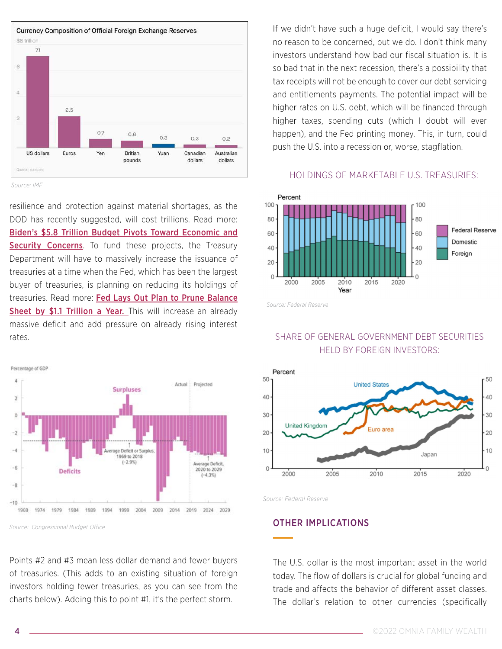

*Source: IMF*

resilience and protection against material shortages, as the DOD has recently suggested, will cost trillions. Read more: [Biden's \\$5.8 Trillion Budget Pivots Toward Economic and](https://www.nytimes.com/2022/03/28/us/politics/biden-proposes-increases-in-defense-and-social-spending.html)  [Security Concerns](https://www.nytimes.com/2022/03/28/us/politics/biden-proposes-increases-in-defense-and-social-spending.html). To fund these projects, the Treasury Department will have to massively increase the issuance of treasuries at a time when the Fed, which has been the largest buyer of treasuries, is planning on reducing its holdings of treasuries. Read more: [Fed Lays Out Plan to Prune Balance](https://www.bloomberg.com/news/articles/2022-04-06/fed-lays-out-plan-to-prune-balance-sheet-by-1-1-trillion-a-year)  [Sheet by \\$1.1 Trillion a Year.](https://www.bloomberg.com/news/articles/2022-04-06/fed-lays-out-plan-to-prune-balance-sheet-by-1-1-trillion-a-year) This will increase an already massive deficit and add pressure on already rising interest rates.



*Source: Congressional Budget Office*

Points #2 and #3 mean less dollar demand and fewer buyers of treasuries. (This adds to an existing situation of foreign investors holding fewer treasuries, as you can see from the charts below). Adding this to point #1, it's the perfect storm.

If we didn't have such a huge deficit, I would say there's no reason to be concerned, but we do. I don't think many investors understand how bad our fiscal situation is. It is so bad that in the next recession, there's a possibility that tax receipts will not be enough to cover our debt servicing and entitlements payments. The potential impact will be higher rates on U.S. debt, which will be financed through higher taxes, spending cuts (which I doubt will ever happen), and the Fed printing money. This, in turn, could push the U.S. into a recession or, worse, stagflation.

#### HOLDINGS OF MARKETABLE U.S. TREASURIES:



*Source: Federal Reserve*

## SHARE OF GENERAL GOVERNMENT DEBT SECURITIES HELD BY FOREIGN INVESTORS:



*Source: Federal Reserve*

#### OTHER IMPLICATIONS

The U.S. dollar is the most important asset in the world today. The flow of dollars is crucial for global funding and trade and affects the behavior of different asset classes. The dollar's relation to other currencies (specifically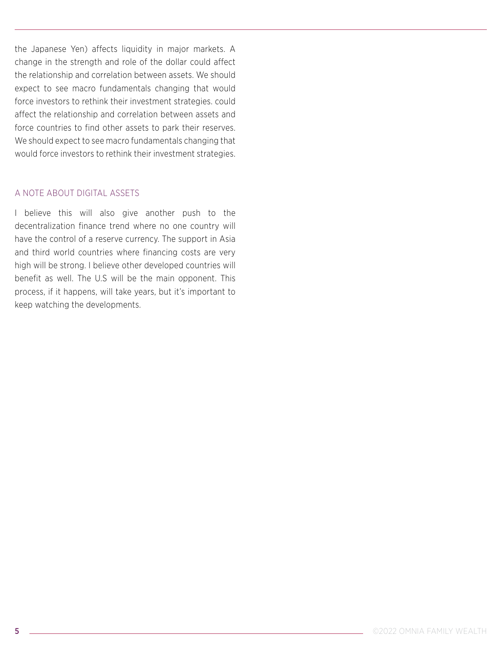the Japanese Yen) affects liquidity in major markets. A change in the strength and role of the dollar could affect the relationship and correlation between assets. We should expect to see macro fundamentals changing that would force investors to rethink their investment strategies. could affect the relationship and correlation between assets and force countries to find other assets to park their reserves. We should expect to see macro fundamentals changing that would force investors to rethink their investment strategies.

#### A NOTE ABOUT DIGITAL ASSETS

I believe this will also give another push to the decentralization finance trend where no one country will have the control of a reserve currency. The support in Asia and third world countries where financing costs are very high will be strong. I believe other developed countries will benefit as well. The U.S will be the main opponent. This process, if it happens, will take years, but it's important to keep watching the developments.